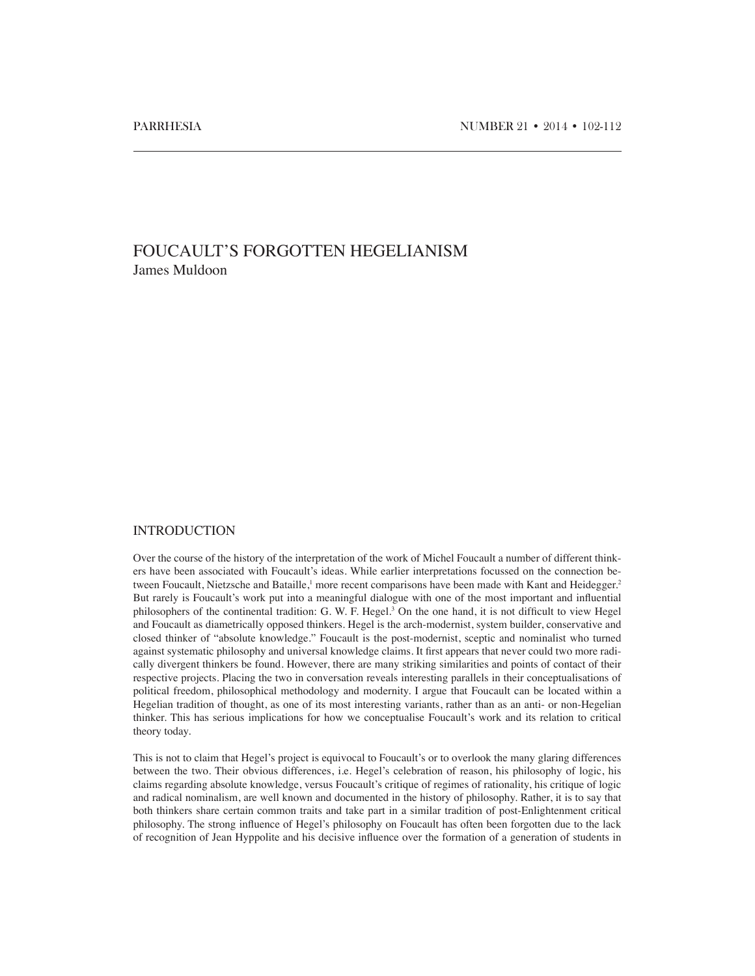# FOUCAULT'S FORGOTTEN HEGELIANISM James Muldoon

#### INTRODUCTION

Over the course of the history of the interpretation of the work of Michel Foucault a number of different thinkers have been associated with Foucault's ideas. While earlier interpretations focussed on the connection between Foucault, Nietzsche and Bataille,<sup>1</sup> more recent comparisons have been made with Kant and Heidegger.<sup>2</sup> But rarely is Foucault's work put into a meaningful dialogue with one of the most important and influential philosophers of the continental tradition: G. W. F. Hegel.<sup>3</sup> On the one hand, it is not difficult to view Hegel and Foucault as diametrically opposed thinkers. Hegel is the arch-modernist, system builder, conservative and closed thinker of "absolute knowledge." Foucault is the post-modernist, sceptic and nominalist who turned against systematic philosophy and universal knowledge claims. It first appears that never could two more radically divergent thinkers be found. However, there are many striking similarities and points of contact of their respective projects. Placing the two in conversation reveals interesting parallels in their conceptualisations of political freedom, philosophical methodology and modernity. I argue that Foucault can be located within a Hegelian tradition of thought, as one of its most interesting variants, rather than as an anti- or non-Hegelian thinker. This has serious implications for how we conceptualise Foucault's work and its relation to critical theory today.

This is not to claim that Hegel's project is equivocal to Foucault's or to overlook the many glaring differences between the two. Their obvious differences, i.e. Hegel's celebration of reason, his philosophy of logic, his claims regarding absolute knowledge, versus Foucault's critique of regimes of rationality, his critique of logic and radical nominalism, are well known and documented in the history of philosophy. Rather, it is to say that both thinkers share certain common traits and take part in a similar tradition of post-Enlightenment critical philosophy. The strong influence of Hegel's philosophy on Foucault has often been forgotten due to the lack of recognition of Jean Hyppolite and his decisive influence over the formation of a generation of students in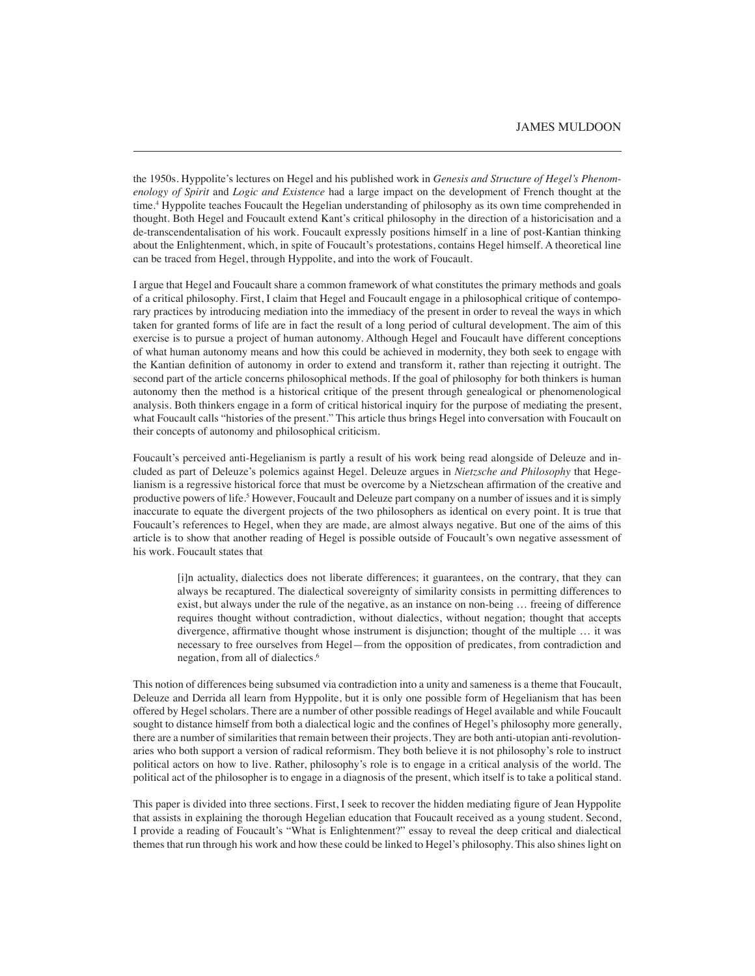the 1950s. Hyppolite's lectures on Hegel and his published work in *Genesis and Structure of Hegel's Phenomenology of Spirit* and *Logic and Existence* had a large impact on the development of French thought at the time.4 Hyppolite teaches Foucault the Hegelian understanding of philosophy as its own time comprehended in thought. Both Hegel and Foucault extend Kant's critical philosophy in the direction of a historicisation and a de-transcendentalisation of his work. Foucault expressly positions himself in a line of post-Kantian thinking about the Enlightenment, which, in spite of Foucault's protestations, contains Hegel himself. A theoretical line can be traced from Hegel, through Hyppolite, and into the work of Foucault.

I argue that Hegel and Foucault share a common framework of what constitutes the primary methods and goals of a critical philosophy. First, I claim that Hegel and Foucault engage in a philosophical critique of contemporary practices by introducing mediation into the immediacy of the present in order to reveal the ways in which taken for granted forms of life are in fact the result of a long period of cultural development. The aim of this exercise is to pursue a project of human autonomy. Although Hegel and Foucault have different conceptions of what human autonomy means and how this could be achieved in modernity, they both seek to engage with the Kantian definition of autonomy in order to extend and transform it, rather than rejecting it outright. The second part of the article concerns philosophical methods. If the goal of philosophy for both thinkers is human autonomy then the method is a historical critique of the present through genealogical or phenomenological analysis. Both thinkers engage in a form of critical historical inquiry for the purpose of mediating the present, what Foucault calls "histories of the present." This article thus brings Hegel into conversation with Foucault on their concepts of autonomy and philosophical criticism.

Foucault's perceived anti-Hegelianism is partly a result of his work being read alongside of Deleuze and included as part of Deleuze's polemics against Hegel. Deleuze argues in *Nietzsche and Philosophy* that Hegelianism is a regressive historical force that must be overcome by a Nietzschean affirmation of the creative and productive powers of life.<sup>5</sup> However, Foucault and Deleuze part company on a number of issues and it is simply inaccurate to equate the divergent projects of the two philosophers as identical on every point. It is true that Foucault's references to Hegel, when they are made, are almost always negative. But one of the aims of this article is to show that another reading of Hegel is possible outside of Foucault's own negative assessment of his work. Foucault states that

[i]n actuality, dialectics does not liberate differences; it guarantees, on the contrary, that they can always be recaptured. The dialectical sovereignty of similarity consists in permitting differences to exist, but always under the rule of the negative, as an instance on non-being … freeing of difference requires thought without contradiction, without dialectics, without negation; thought that accepts divergence, affirmative thought whose instrument is disjunction; thought of the multiple … it was necessary to free ourselves from Hegel—from the opposition of predicates, from contradiction and negation, from all of dialectics.6

This notion of differences being subsumed via contradiction into a unity and sameness is a theme that Foucault, Deleuze and Derrida all learn from Hyppolite, but it is only one possible form of Hegelianism that has been offered by Hegel scholars. There are a number of other possible readings of Hegel available and while Foucault sought to distance himself from both a dialectical logic and the confines of Hegel's philosophy more generally, there are a number of similarities that remain between their projects. They are both anti-utopian anti-revolutionaries who both support a version of radical reformism. They both believe it is not philosophy's role to instruct political actors on how to live. Rather, philosophy's role is to engage in a critical analysis of the world. The political act of the philosopher is to engage in a diagnosis of the present, which itself is to take a political stand.

This paper is divided into three sections. First, I seek to recover the hidden mediating figure of Jean Hyppolite that assists in explaining the thorough Hegelian education that Foucault received as a young student. Second, I provide a reading of Foucault's "What is Enlightenment?" essay to reveal the deep critical and dialectical themes that run through his work and how these could be linked to Hegel's philosophy. This also shines light on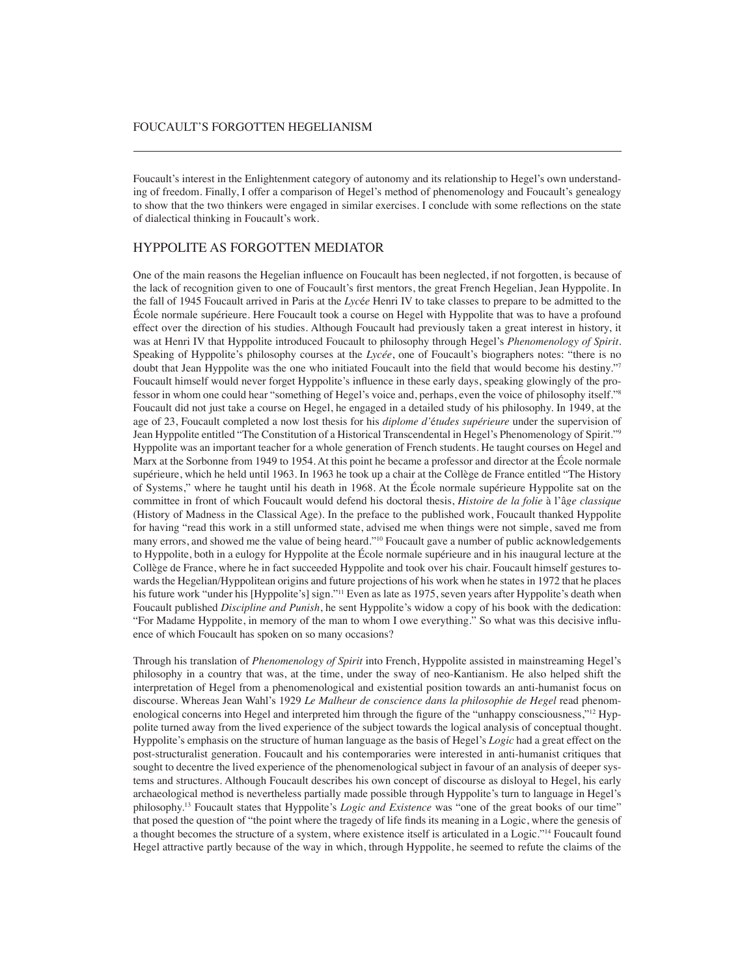Foucault's interest in the Enlightenment category of autonomy and its relationship to Hegel's own understanding of freedom. Finally, I offer a comparison of Hegel's method of phenomenology and Foucault's genealogy to show that the two thinkers were engaged in similar exercises. I conclude with some reflections on the state of dialectical thinking in Foucault's work.

## HYPPOLITE AS FORGOTTEN MEDIATOR

One of the main reasons the Hegelian influence on Foucault has been neglected, if not forgotten, is because of the lack of recognition given to one of Foucault's first mentors, the great French Hegelian, Jean Hyppolite. In the fall of 1945 Foucault arrived in Paris at the *Lyc*é*e* Henri IV to take classes to prepare to be admitted to the École normale supérieure. Here Foucault took a course on Hegel with Hyppolite that was to have a profound effect over the direction of his studies. Although Foucault had previously taken a great interest in history, it was at Henri IV that Hyppolite introduced Foucault to philosophy through Hegel's *Phenomenology of Spirit*. Speaking of Hyppolite's philosophy courses at the *Lycée*, one of Foucault's biographers notes: "there is no doubt that Jean Hyppolite was the one who initiated Foucault into the field that would become his destiny."<sup>7</sup> Foucault himself would never forget Hyppolite's influence in these early days, speaking glowingly of the professor in whom one could hear "something of Hegel's voice and, perhaps, even the voice of philosophy itself."8 Foucault did not just take a course on Hegel, he engaged in a detailed study of his philosophy. In 1949, at the age of 23, Foucault completed a now lost thesis for his *diplome d'*é*tudes supérieure* under the supervision of Jean Hyppolite entitled "The Constitution of a Historical Transcendental in Hegel's Phenomenology of Spirit."9 Hyppolite was an important teacher for a whole generation of French students. He taught courses on Hegel and Marx at the Sorbonne from 1949 to 1954. At this point he became a professor and director at the École normale supérieure, which he held until 1963. In 1963 he took up a chair at the Collège de France entitled "The History of Systems," where he taught until his death in 1968. At the École normale supérieure Hyppolite sat on the committee in front of which Foucault would defend his doctoral thesis, *Histoire de la folie* à l'â*ge classique*  (History of Madness in the Classical Age). In the preface to the published work, Foucault thanked Hyppolite for having "read this work in a still unformed state, advised me when things were not simple, saved me from many errors, and showed me the value of being heard."10 Foucault gave a number of public acknowledgements to Hyppolite, both in a eulogy for Hyppolite at the École normale supérieure and in his inaugural lecture at the Collège de France, where he in fact succeeded Hyppolite and took over his chair. Foucault himself gestures towards the Hegelian/Hyppolitean origins and future projections of his work when he states in 1972 that he places his future work "under his [Hyppolite's] sign."<sup>11</sup> Even as late as 1975, seven years after Hyppolite's death when Foucault published *Discipline and Punish*, he sent Hyppolite's widow a copy of his book with the dedication: "For Madame Hyppolite, in memory of the man to whom I owe everything." So what was this decisive influence of which Foucault has spoken on so many occasions?

Through his translation of *Phenomenology of Spirit* into French, Hyppolite assisted in mainstreaming Hegel's philosophy in a country that was, at the time, under the sway of neo-Kantianism. He also helped shift the interpretation of Hegel from a phenomenological and existential position towards an anti-humanist focus on discourse. Whereas Jean Wahl's 1929 *Le Malheur de conscience dans la philosophie de Hegel* read phenomenological concerns into Hegel and interpreted him through the figure of the "unhappy consciousness,"<sup>12</sup> Hyppolite turned away from the lived experience of the subject towards the logical analysis of conceptual thought. Hyppolite's emphasis on the structure of human language as the basis of Hegel's *Logic* had a great effect on the post-structuralist generation. Foucault and his contemporaries were interested in anti-humanist critiques that sought to decentre the lived experience of the phenomenological subject in favour of an analysis of deeper systems and structures. Although Foucault describes his own concept of discourse as disloyal to Hegel, his early archaeological method is nevertheless partially made possible through Hyppolite's turn to language in Hegel's philosophy.13 Foucault states that Hyppolite's *Logic and Existence* was "one of the great books of our time" that posed the question of "the point where the tragedy of life finds its meaning in a Logic, where the genesis of a thought becomes the structure of a system, where existence itself is articulated in a Logic."14 Foucault found Hegel attractive partly because of the way in which, through Hyppolite, he seemed to refute the claims of the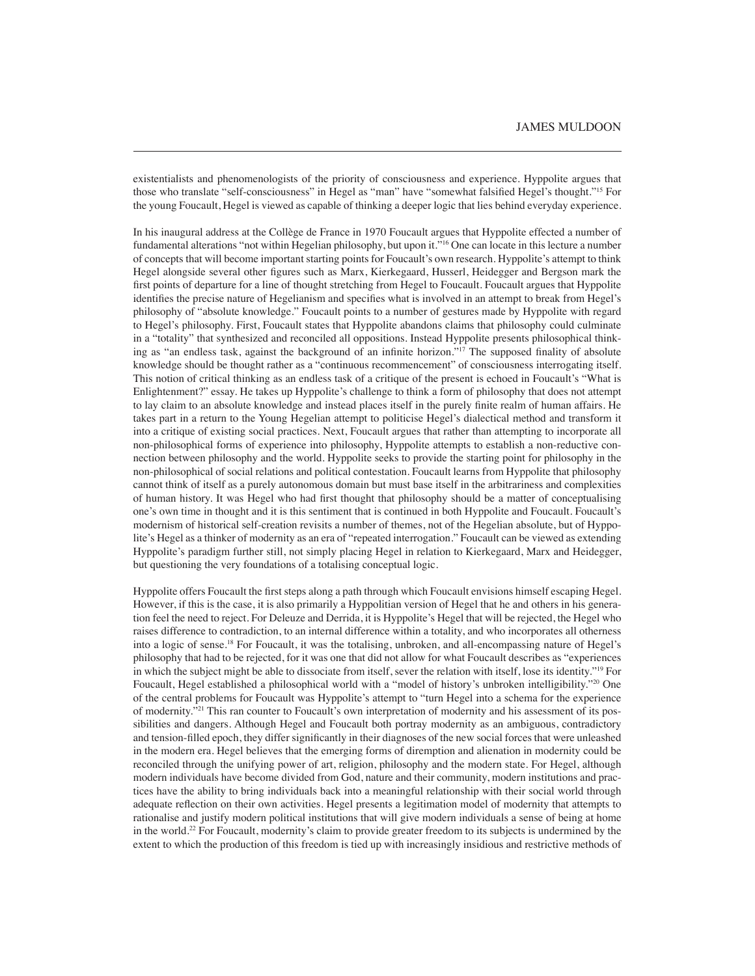existentialists and phenomenologists of the priority of consciousness and experience. Hyppolite argues that those who translate "self-consciousness" in Hegel as "man" have "somewhat falsified Hegel's thought."15 For the young Foucault, Hegel is viewed as capable of thinking a deeper logic that lies behind everyday experience.

In his inaugural address at the Collège de France in 1970 Foucault argues that Hyppolite effected a number of fundamental alterations "not within Hegelian philosophy, but upon it."16 One can locate in this lecture a number of concepts that will become important starting points for Foucault's own research. Hyppolite's attempt to think Hegel alongside several other figures such as Marx, Kierkegaard, Husserl, Heidegger and Bergson mark the first points of departure for a line of thought stretching from Hegel to Foucault. Foucault argues that Hyppolite identifies the precise nature of Hegelianism and specifies what is involved in an attempt to break from Hegel's philosophy of "absolute knowledge." Foucault points to a number of gestures made by Hyppolite with regard to Hegel's philosophy. First, Foucault states that Hyppolite abandons claims that philosophy could culminate in a "totality" that synthesized and reconciled all oppositions. Instead Hyppolite presents philosophical thinking as "an endless task, against the background of an infinite horizon."<sup>17</sup> The supposed finality of absolute knowledge should be thought rather as a "continuous recommencement" of consciousness interrogating itself. This notion of critical thinking as an endless task of a critique of the present is echoed in Foucault's "What is Enlightenment?" essay. He takes up Hyppolite's challenge to think a form of philosophy that does not attempt to lay claim to an absolute knowledge and instead places itself in the purely finite realm of human affairs. He takes part in a return to the Young Hegelian attempt to politicise Hegel's dialectical method and transform it into a critique of existing social practices. Next, Foucault argues that rather than attempting to incorporate all non-philosophical forms of experience into philosophy, Hyppolite attempts to establish a non-reductive connection between philosophy and the world. Hyppolite seeks to provide the starting point for philosophy in the non-philosophical of social relations and political contestation. Foucault learns from Hyppolite that philosophy cannot think of itself as a purely autonomous domain but must base itself in the arbitrariness and complexities of human history. It was Hegel who had first thought that philosophy should be a matter of conceptualising one's own time in thought and it is this sentiment that is continued in both Hyppolite and Foucault. Foucault's modernism of historical self-creation revisits a number of themes, not of the Hegelian absolute, but of Hyppolite's Hegel as a thinker of modernity as an era of "repeated interrogation." Foucault can be viewed as extending Hyppolite's paradigm further still, not simply placing Hegel in relation to Kierkegaard, Marx and Heidegger, but questioning the very foundations of a totalising conceptual logic.

Hyppolite offers Foucault the first steps along a path through which Foucault envisions himself escaping Hegel. However, if this is the case, it is also primarily a Hyppolitian version of Hegel that he and others in his generation feel the need to reject. For Deleuze and Derrida, it is Hyppolite's Hegel that will be rejected, the Hegel who raises difference to contradiction, to an internal difference within a totality, and who incorporates all otherness into a logic of sense.18 For Foucault, it was the totalising, unbroken, and all-encompassing nature of Hegel's philosophy that had to be rejected, for it was one that did not allow for what Foucault describes as "experiences in which the subject might be able to dissociate from itself, sever the relation with itself, lose its identity."19 For Foucault, Hegel established a philosophical world with a "model of history's unbroken intelligibility."<sup>20</sup> One of the central problems for Foucault was Hyppolite's attempt to "turn Hegel into a schema for the experience of modernity."21 This ran counter to Foucault's own interpretation of modernity and his assessment of its possibilities and dangers. Although Hegel and Foucault both portray modernity as an ambiguous, contradictory and tension-filled epoch, they differ significantly in their diagnoses of the new social forces that were unleashed in the modern era. Hegel believes that the emerging forms of diremption and alienation in modernity could be reconciled through the unifying power of art, religion, philosophy and the modern state. For Hegel, although modern individuals have become divided from God, nature and their community, modern institutions and practices have the ability to bring individuals back into a meaningful relationship with their social world through adequate reflection on their own activities. Hegel presents a legitimation model of modernity that attempts to rationalise and justify modern political institutions that will give modern individuals a sense of being at home in the world.22 For Foucault, modernity's claim to provide greater freedom to its subjects is undermined by the extent to which the production of this freedom is tied up with increasingly insidious and restrictive methods of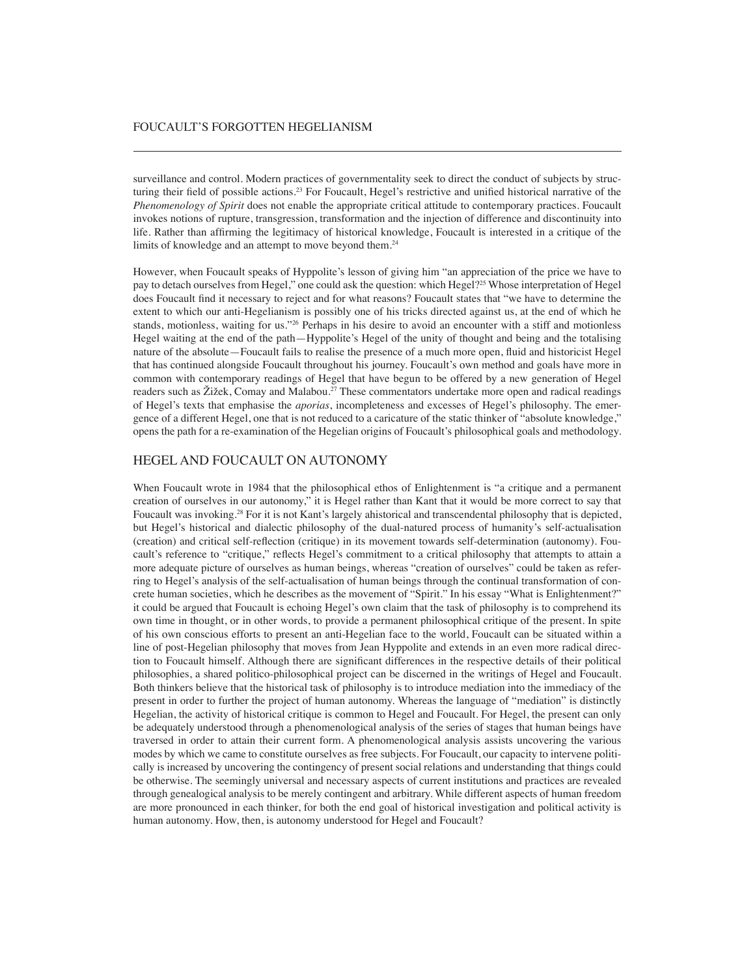surveillance and control. Modern practices of governmentality seek to direct the conduct of subjects by structuring their field of possible actions.<sup>23</sup> For Foucault, Hegel's restrictive and unified historical narrative of the *Phenomenology of Spirit* does not enable the appropriate critical attitude to contemporary practices. Foucault invokes notions of rupture, transgression, transformation and the injection of difference and discontinuity into life. Rather than affirming the legitimacy of historical knowledge, Foucault is interested in a critique of the limits of knowledge and an attempt to move beyond them.<sup>24</sup>

However, when Foucault speaks of Hyppolite's lesson of giving him "an appreciation of the price we have to pay to detach ourselves from Hegel," one could ask the question: which Hegel?<sup>25</sup> Whose interpretation of Hegel does Foucault find it necessary to reject and for what reasons? Foucault states that "we have to determine the extent to which our anti-Hegelianism is possibly one of his tricks directed against us, at the end of which he stands, motionless, waiting for us."26 Perhaps in his desire to avoid an encounter with a stiff and motionless Hegel waiting at the end of the path—Hyppolite's Hegel of the unity of thought and being and the totalising nature of the absolute—Foucault fails to realise the presence of a much more open, fluid and historicist Hegel that has continued alongside Foucault throughout his journey. Foucault's own method and goals have more in common with contemporary readings of Hegel that have begun to be offered by a new generation of Hegel readers such as Žižek, Comay and Malabou.<sup>27</sup> These commentators undertake more open and radical readings of Hegel's texts that emphasise the *aporias*, incompleteness and excesses of Hegel's philosophy. The emergence of a different Hegel, one that is not reduced to a caricature of the static thinker of "absolute knowledge," opens the path for a re-examination of the Hegelian origins of Foucault's philosophical goals and methodology.

## HEGEL AND FOUCAULT ON AUTONOMY

When Foucault wrote in 1984 that the philosophical ethos of Enlightenment is "a critique and a permanent creation of ourselves in our autonomy," it is Hegel rather than Kant that it would be more correct to say that Foucault was invoking.<sup>28</sup> For it is not Kant's largely ahistorical and transcendental philosophy that is depicted, but Hegel's historical and dialectic philosophy of the dual-natured process of humanity's self-actualisation (creation) and critical self-reflection (critique) in its movement towards self-determination (autonomy). Foucault's reference to "critique," reflects Hegel's commitment to a critical philosophy that attempts to attain a more adequate picture of ourselves as human beings, whereas "creation of ourselves" could be taken as referring to Hegel's analysis of the self-actualisation of human beings through the continual transformation of concrete human societies, which he describes as the movement of "Spirit." In his essay "What is Enlightenment?" it could be argued that Foucault is echoing Hegel's own claim that the task of philosophy is to comprehend its own time in thought, or in other words, to provide a permanent philosophical critique of the present. In spite of his own conscious efforts to present an anti-Hegelian face to the world, Foucault can be situated within a line of post-Hegelian philosophy that moves from Jean Hyppolite and extends in an even more radical direction to Foucault himself. Although there are significant differences in the respective details of their political philosophies, a shared politico-philosophical project can be discerned in the writings of Hegel and Foucault. Both thinkers believe that the historical task of philosophy is to introduce mediation into the immediacy of the present in order to further the project of human autonomy. Whereas the language of "mediation" is distinctly Hegelian, the activity of historical critique is common to Hegel and Foucault. For Hegel, the present can only be adequately understood through a phenomenological analysis of the series of stages that human beings have traversed in order to attain their current form. A phenomenological analysis assists uncovering the various modes by which we came to constitute ourselves as free subjects. For Foucault, our capacity to intervene politically is increased by uncovering the contingency of present social relations and understanding that things could be otherwise. The seemingly universal and necessary aspects of current institutions and practices are revealed through genealogical analysis to be merely contingent and arbitrary. While different aspects of human freedom are more pronounced in each thinker, for both the end goal of historical investigation and political activity is human autonomy. How, then, is autonomy understood for Hegel and Foucault?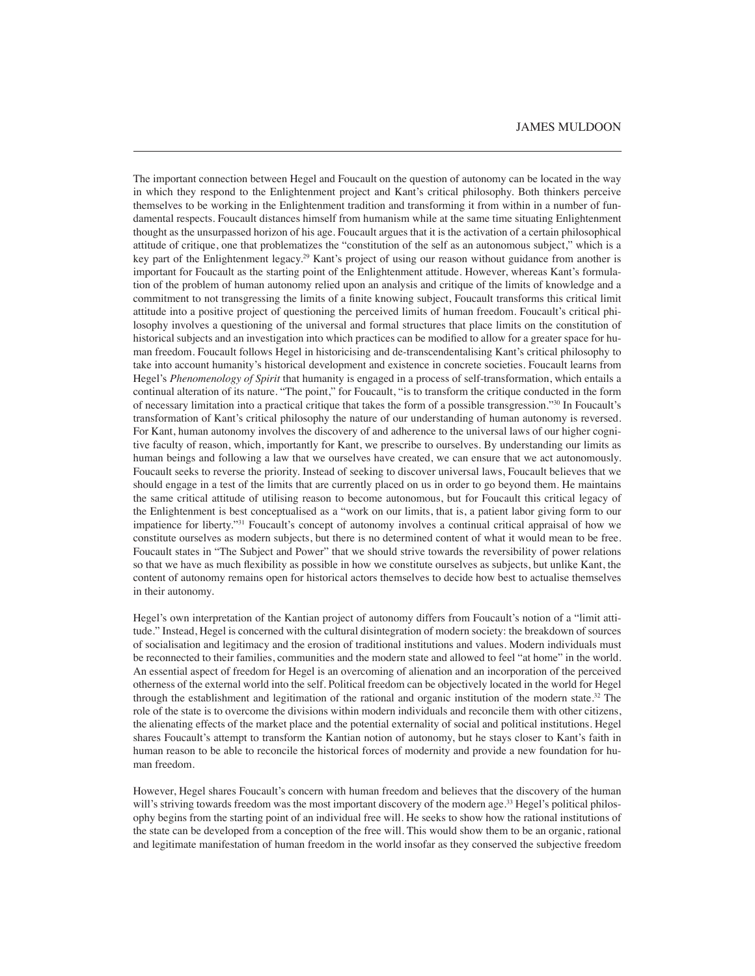The important connection between Hegel and Foucault on the question of autonomy can be located in the way in which they respond to the Enlightenment project and Kant's critical philosophy. Both thinkers perceive themselves to be working in the Enlightenment tradition and transforming it from within in a number of fundamental respects. Foucault distances himself from humanism while at the same time situating Enlightenment thought as the unsurpassed horizon of his age. Foucault argues that it is the activation of a certain philosophical attitude of critique, one that problematizes the "constitution of the self as an autonomous subject," which is a key part of the Enlightenment legacy.<sup>29</sup> Kant's project of using our reason without guidance from another is important for Foucault as the starting point of the Enlightenment attitude. However, whereas Kant's formulation of the problem of human autonomy relied upon an analysis and critique of the limits of knowledge and a commitment to not transgressing the limits of a finite knowing subject, Foucault transforms this critical limit attitude into a positive project of questioning the perceived limits of human freedom. Foucault's critical philosophy involves a questioning of the universal and formal structures that place limits on the constitution of historical subjects and an investigation into which practices can be modified to allow for a greater space for human freedom. Foucault follows Hegel in historicising and de-transcendentalising Kant's critical philosophy to take into account humanity's historical development and existence in concrete societies. Foucault learns from Hegel's *Phenomenology of Spirit* that humanity is engaged in a process of self-transformation, which entails a continual alteration of its nature. "The point," for Foucault, "is to transform the critique conducted in the form of necessary limitation into a practical critique that takes the form of a possible transgression."30 In Foucault's transformation of Kant's critical philosophy the nature of our understanding of human autonomy is reversed. For Kant, human autonomy involves the discovery of and adherence to the universal laws of our higher cognitive faculty of reason, which, importantly for Kant, we prescribe to ourselves. By understanding our limits as human beings and following a law that we ourselves have created, we can ensure that we act autonomously. Foucault seeks to reverse the priority. Instead of seeking to discover universal laws, Foucault believes that we should engage in a test of the limits that are currently placed on us in order to go beyond them. He maintains the same critical attitude of utilising reason to become autonomous, but for Foucault this critical legacy of the Enlightenment is best conceptualised as a "work on our limits, that is, a patient labor giving form to our impatience for liberty."31 Foucault's concept of autonomy involves a continual critical appraisal of how we constitute ourselves as modern subjects, but there is no determined content of what it would mean to be free. Foucault states in "The Subject and Power" that we should strive towards the reversibility of power relations so that we have as much flexibility as possible in how we constitute ourselves as subjects, but unlike Kant, the content of autonomy remains open for historical actors themselves to decide how best to actualise themselves in their autonomy.

Hegel's own interpretation of the Kantian project of autonomy differs from Foucault's notion of a "limit attitude." Instead, Hegel is concerned with the cultural disintegration of modern society: the breakdown of sources of socialisation and legitimacy and the erosion of traditional institutions and values. Modern individuals must be reconnected to their families, communities and the modern state and allowed to feel "at home" in the world. An essential aspect of freedom for Hegel is an overcoming of alienation and an incorporation of the perceived otherness of the external world into the self. Political freedom can be objectively located in the world for Hegel through the establishment and legitimation of the rational and organic institution of the modern state.32 The role of the state is to overcome the divisions within modern individuals and reconcile them with other citizens, the alienating effects of the market place and the potential externality of social and political institutions. Hegel shares Foucault's attempt to transform the Kantian notion of autonomy, but he stays closer to Kant's faith in human reason to be able to reconcile the historical forces of modernity and provide a new foundation for human freedom.

However, Hegel shares Foucault's concern with human freedom and believes that the discovery of the human will's striving towards freedom was the most important discovery of the modern age.<sup>33</sup> Hegel's political philosophy begins from the starting point of an individual free will. He seeks to show how the rational institutions of the state can be developed from a conception of the free will. This would show them to be an organic, rational and legitimate manifestation of human freedom in the world insofar as they conserved the subjective freedom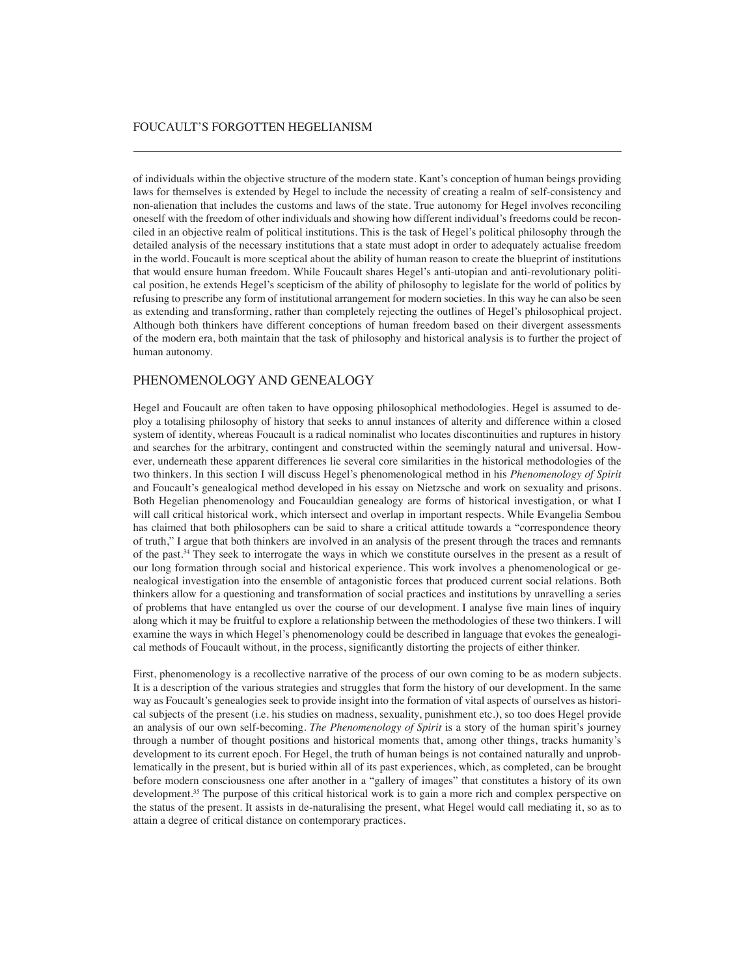of individuals within the objective structure of the modern state. Kant's conception of human beings providing laws for themselves is extended by Hegel to include the necessity of creating a realm of self-consistency and non-alienation that includes the customs and laws of the state. True autonomy for Hegel involves reconciling oneself with the freedom of other individuals and showing how different individual's freedoms could be reconciled in an objective realm of political institutions. This is the task of Hegel's political philosophy through the detailed analysis of the necessary institutions that a state must adopt in order to adequately actualise freedom in the world. Foucault is more sceptical about the ability of human reason to create the blueprint of institutions that would ensure human freedom. While Foucault shares Hegel's anti-utopian and anti-revolutionary political position, he extends Hegel's scepticism of the ability of philosophy to legislate for the world of politics by refusing to prescribe any form of institutional arrangement for modern societies. In this way he can also be seen as extending and transforming, rather than completely rejecting the outlines of Hegel's philosophical project. Although both thinkers have different conceptions of human freedom based on their divergent assessments of the modern era, both maintain that the task of philosophy and historical analysis is to further the project of human autonomy.

### PHENOMENOLOGY AND GENEALOGY

Hegel and Foucault are often taken to have opposing philosophical methodologies. Hegel is assumed to deploy a totalising philosophy of history that seeks to annul instances of alterity and difference within a closed system of identity, whereas Foucault is a radical nominalist who locates discontinuities and ruptures in history and searches for the arbitrary, contingent and constructed within the seemingly natural and universal. However, underneath these apparent differences lie several core similarities in the historical methodologies of the two thinkers. In this section I will discuss Hegel's phenomenological method in his *Phenomenology of Spirit* and Foucault's genealogical method developed in his essay on Nietzsche and work on sexuality and prisons. Both Hegelian phenomenology and Foucauldian genealogy are forms of historical investigation, or what I will call critical historical work, which intersect and overlap in important respects. While Evangelia Sembou has claimed that both philosophers can be said to share a critical attitude towards a "correspondence theory of truth," I argue that both thinkers are involved in an analysis of the present through the traces and remnants of the past.34 They seek to interrogate the ways in which we constitute ourselves in the present as a result of our long formation through social and historical experience. This work involves a phenomenological or genealogical investigation into the ensemble of antagonistic forces that produced current social relations. Both thinkers allow for a questioning and transformation of social practices and institutions by unravelling a series of problems that have entangled us over the course of our development. I analyse five main lines of inquiry along which it may be fruitful to explore a relationship between the methodologies of these two thinkers. I will examine the ways in which Hegel's phenomenology could be described in language that evokes the genealogical methods of Foucault without, in the process, significantly distorting the projects of either thinker.

First, phenomenology is a recollective narrative of the process of our own coming to be as modern subjects. It is a description of the various strategies and struggles that form the history of our development. In the same way as Foucault's genealogies seek to provide insight into the formation of vital aspects of ourselves as historical subjects of the present (i.e. his studies on madness, sexuality, punishment etc.), so too does Hegel provide an analysis of our own self-becoming. *The Phenomenology of Spirit* is a story of the human spirit's journey through a number of thought positions and historical moments that, among other things, tracks humanity's development to its current epoch. For Hegel, the truth of human beings is not contained naturally and unproblematically in the present, but is buried within all of its past experiences, which, as completed, can be brought before modern consciousness one after another in a "gallery of images" that constitutes a history of its own development.<sup>35</sup> The purpose of this critical historical work is to gain a more rich and complex perspective on the status of the present. It assists in de-naturalising the present, what Hegel would call mediating it, so as to attain a degree of critical distance on contemporary practices.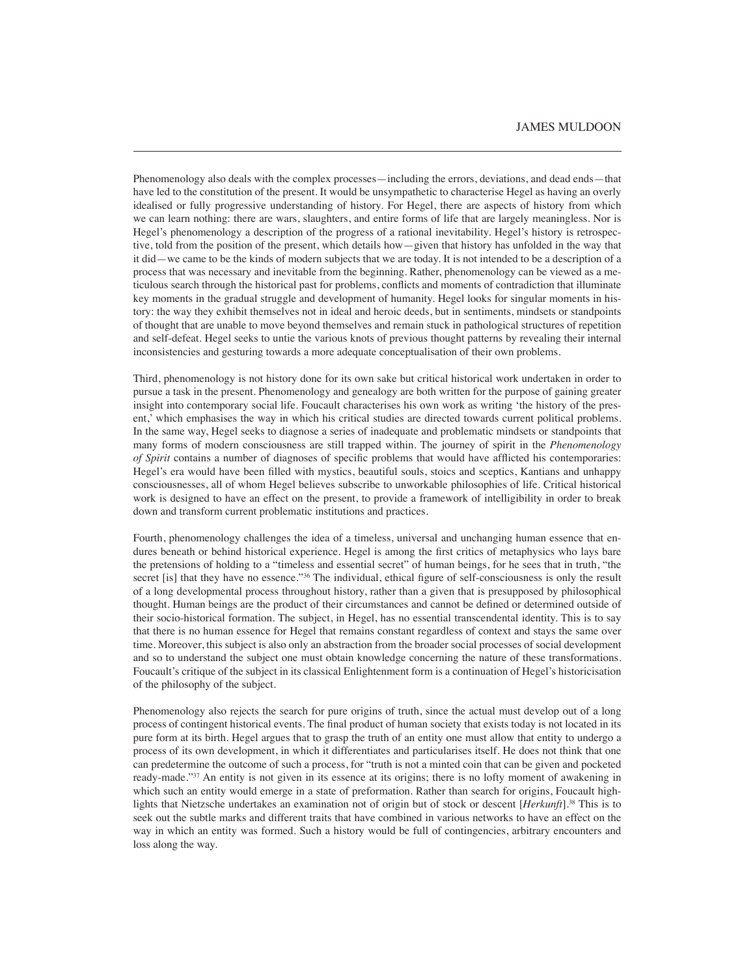Phenomenology also deals with the complex processes—including the errors, deviations, and dead ends—that have led to the constitution of the present. It would be unsympathetic to characterise Hegel as having an overly idealised or fully progressive understanding of history. For Hegel, there are aspects of history from which we can learn nothing: there are wars, slaughters, and entire forms of life that are largely meaningless. Nor is Hegel's phenomenology a description of the progress of a rational inevitability. Hegel's history is retrospective, told from the position of the present, which details how—given that history has unfolded in the way that it did—we came to be the kinds of modern subjects that we are today. It is not intended to be a description of a process that was necessary and inevitable from the beginning. Rather, phenomenology can be viewed as a meticulous search through the historical past for problems, conflicts and moments of contradiction that illuminate key moments in the gradual struggle and development of humanity. Hegel looks for singular moments in history: the way they exhibit themselves not in ideal and heroic deeds, but in sentiments, mindsets or standpoints of thought that are unable to move beyond themselves and remain stuck in pathological structures of repetition and self-defeat. Hegel seeks to untie the various knots of previous thought patterns by revealing their internal inconsistencies and gesturing towards a more adequate conceptualisation of their own problems.

Third, phenomenology is not history done for its own sake but critical historical work undertaken in order to pursue a task in the present. Phenomenology and genealogy are both written for the purpose of gaining greater insight into contemporary social life. Foucault characterises his own work as writing 'the history of the present,' which emphasises the way in which his critical studies are directed towards current political problems. In the same way, Hegel seeks to diagnose a series of inadequate and problematic mindsets or standpoints that many forms of modern consciousness are still trapped within. The journey of spirit in the *Phenomenology of Spirit* contains a number of diagnoses of specific problems that would have afflicted his contemporaries: Hegel's era would have been filled with mystics, beautiful souls, stoics and sceptics, Kantians and unhappy consciousnesses, all of whom Hegel believes subscribe to unworkable philosophies of life. Critical historical work is designed to have an effect on the present, to provide a framework of intelligibility in order to break down and transform current problematic institutions and practices.

Fourth, phenomenology challenges the idea of a timeless, universal and unchanging human essence that endures beneath or behind historical experience. Hegel is among the first critics of metaphysics who lays bare the pretensions of holding to a "timeless and essential secret" of human beings, for he sees that in truth, "the secret [is] that they have no essence."<sup>36</sup> The individual, ethical figure of self-consciousness is only the result of a long developmental process throughout history, rather than a given that is presupposed by philosophical thought. Human beings are the product of their circumstances and cannot be defined or determined outside of their socio-historical formation. The subject, in Hegel, has no essential transcendental identity. This is to say that there is no human essence for Hegel that remains constant regardless of context and stays the same over time. Moreover, this subject is also only an abstraction from the broader social processes of social development and so to understand the subject one must obtain knowledge concerning the nature of these transformations. Foucault's critique of the subject in its classical Enlightenment form is a continuation of Hegel's historicisation of the philosophy of the subject.

Phenomenology also rejects the search for pure origins of truth, since the actual must develop out of a long process of contingent historical events. The final product of human society that exists today is not located in its pure form at its birth. Hegel argues that to grasp the truth of an entity one must allow that entity to undergo a process of its own development, in which it differentiates and particularises itself. He does not think that one can predetermine the outcome of such a process, for "truth is not a minted coin that can be given and pocketed ready-made."37 An entity is not given in its essence at its origins; there is no lofty moment of awakening in which such an entity would emerge in a state of preformation. Rather than search for origins, Foucault highlights that Nietzsche undertakes an examination not of origin but of stock or descent [*Herkunft*].38 This is to seek out the subtle marks and different traits that have combined in various networks to have an effect on the way in which an entity was formed. Such a history would be full of contingencies, arbitrary encounters and loss along the way.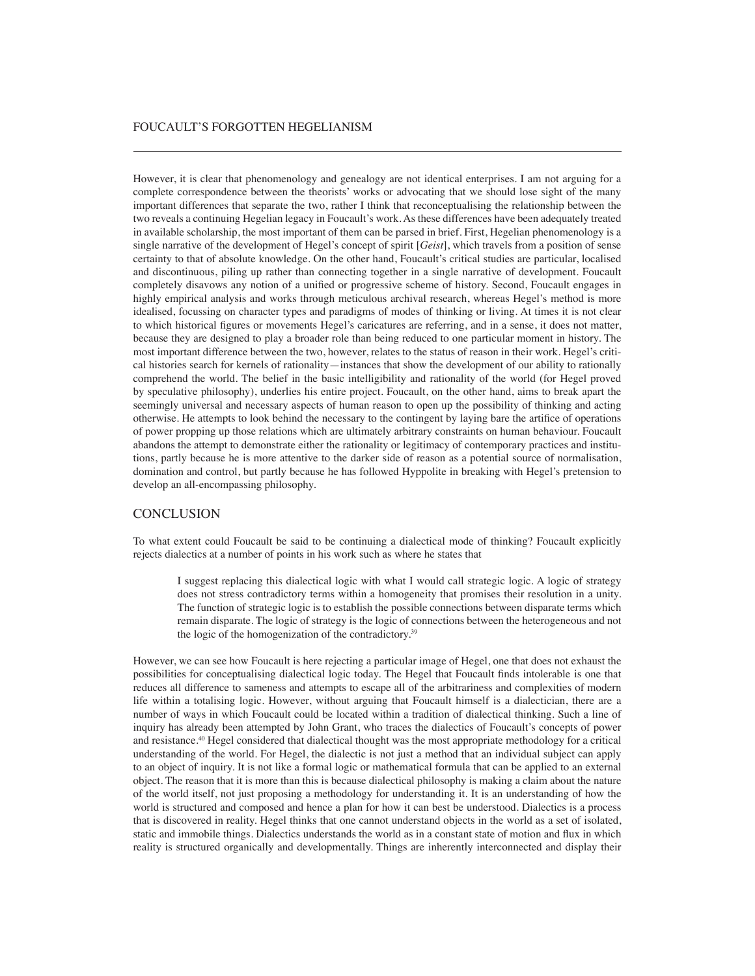However, it is clear that phenomenology and genealogy are not identical enterprises. I am not arguing for a complete correspondence between the theorists' works or advocating that we should lose sight of the many important differences that separate the two, rather I think that reconceptualising the relationship between the two reveals a continuing Hegelian legacy in Foucault's work. As these differences have been adequately treated in available scholarship, the most important of them can be parsed in brief. First, Hegelian phenomenology is a single narrative of the development of Hegel's concept of spirit [*Geist*], which travels from a position of sense certainty to that of absolute knowledge. On the other hand, Foucault's critical studies are particular, localised and discontinuous, piling up rather than connecting together in a single narrative of development. Foucault completely disavows any notion of a unified or progressive scheme of history. Second, Foucault engages in highly empirical analysis and works through meticulous archival research, whereas Hegel's method is more idealised, focussing on character types and paradigms of modes of thinking or living. At times it is not clear to which historical figures or movements Hegel's caricatures are referring, and in a sense, it does not matter, because they are designed to play a broader role than being reduced to one particular moment in history. The most important difference between the two, however, relates to the status of reason in their work. Hegel's critical histories search for kernels of rationality—instances that show the development of our ability to rationally comprehend the world. The belief in the basic intelligibility and rationality of the world (for Hegel proved by speculative philosophy), underlies his entire project. Foucault, on the other hand, aims to break apart the seemingly universal and necessary aspects of human reason to open up the possibility of thinking and acting otherwise. He attempts to look behind the necessary to the contingent by laying bare the artifice of operations of power propping up those relations which are ultimately arbitrary constraints on human behaviour. Foucault abandons the attempt to demonstrate either the rationality or legitimacy of contemporary practices and institutions, partly because he is more attentive to the darker side of reason as a potential source of normalisation, domination and control, but partly because he has followed Hyppolite in breaking with Hegel's pretension to develop an all-encompassing philosophy.

### **CONCLUSION**

To what extent could Foucault be said to be continuing a dialectical mode of thinking? Foucault explicitly rejects dialectics at a number of points in his work such as where he states that

I suggest replacing this dialectical logic with what I would call strategic logic. A logic of strategy does not stress contradictory terms within a homogeneity that promises their resolution in a unity. The function of strategic logic is to establish the possible connections between disparate terms which remain disparate. The logic of strategy is the logic of connections between the heterogeneous and not the logic of the homogenization of the contradictory.39

However, we can see how Foucault is here rejecting a particular image of Hegel, one that does not exhaust the possibilities for conceptualising dialectical logic today. The Hegel that Foucault finds intolerable is one that reduces all difference to sameness and attempts to escape all of the arbitrariness and complexities of modern life within a totalising logic. However, without arguing that Foucault himself is a dialectician, there are a number of ways in which Foucault could be located within a tradition of dialectical thinking. Such a line of inquiry has already been attempted by John Grant, who traces the dialectics of Foucault's concepts of power and resistance.40 Hegel considered that dialectical thought was the most appropriate methodology for a critical understanding of the world. For Hegel, the dialectic is not just a method that an individual subject can apply to an object of inquiry. It is not like a formal logic or mathematical formula that can be applied to an external object. The reason that it is more than this is because dialectical philosophy is making a claim about the nature of the world itself, not just proposing a methodology for understanding it. It is an understanding of how the world is structured and composed and hence a plan for how it can best be understood. Dialectics is a process that is discovered in reality. Hegel thinks that one cannot understand objects in the world as a set of isolated, static and immobile things. Dialectics understands the world as in a constant state of motion and flux in which reality is structured organically and developmentally. Things are inherently interconnected and display their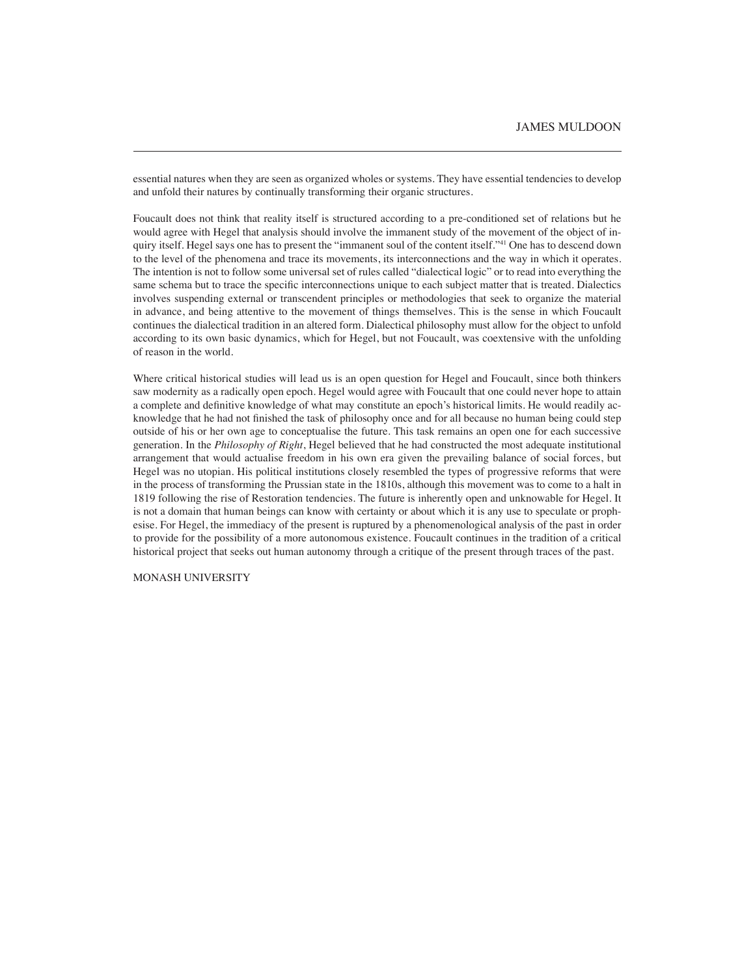essential natures when they are seen as organized wholes or systems. They have essential tendencies to develop and unfold their natures by continually transforming their organic structures.

Foucault does not think that reality itself is structured according to a pre-conditioned set of relations but he would agree with Hegel that analysis should involve the immanent study of the movement of the object of inquiry itself. Hegel says one has to present the "immanent soul of the content itself."41 One has to descend down to the level of the phenomena and trace its movements, its interconnections and the way in which it operates. The intention is not to follow some universal set of rules called "dialectical logic" or to read into everything the same schema but to trace the specific interconnections unique to each subject matter that is treated. Dialectics involves suspending external or transcendent principles or methodologies that seek to organize the material in advance, and being attentive to the movement of things themselves. This is the sense in which Foucault continues the dialectical tradition in an altered form. Dialectical philosophy must allow for the object to unfold according to its own basic dynamics, which for Hegel, but not Foucault, was coextensive with the unfolding of reason in the world.

Where critical historical studies will lead us is an open question for Hegel and Foucault, since both thinkers saw modernity as a radically open epoch. Hegel would agree with Foucault that one could never hope to attain a complete and definitive knowledge of what may constitute an epoch's historical limits. He would readily acknowledge that he had not finished the task of philosophy once and for all because no human being could step outside of his or her own age to conceptualise the future. This task remains an open one for each successive generation. In the *Philosophy of Right*, Hegel believed that he had constructed the most adequate institutional arrangement that would actualise freedom in his own era given the prevailing balance of social forces, but Hegel was no utopian. His political institutions closely resembled the types of progressive reforms that were in the process of transforming the Prussian state in the 1810s, although this movement was to come to a halt in 1819 following the rise of Restoration tendencies. The future is inherently open and unknowable for Hegel. It is not a domain that human beings can know with certainty or about which it is any use to speculate or prophesise. For Hegel, the immediacy of the present is ruptured by a phenomenological analysis of the past in order to provide for the possibility of a more autonomous existence. Foucault continues in the tradition of a critical historical project that seeks out human autonomy through a critique of the present through traces of the past.

#### MONASH UNIVERSITY